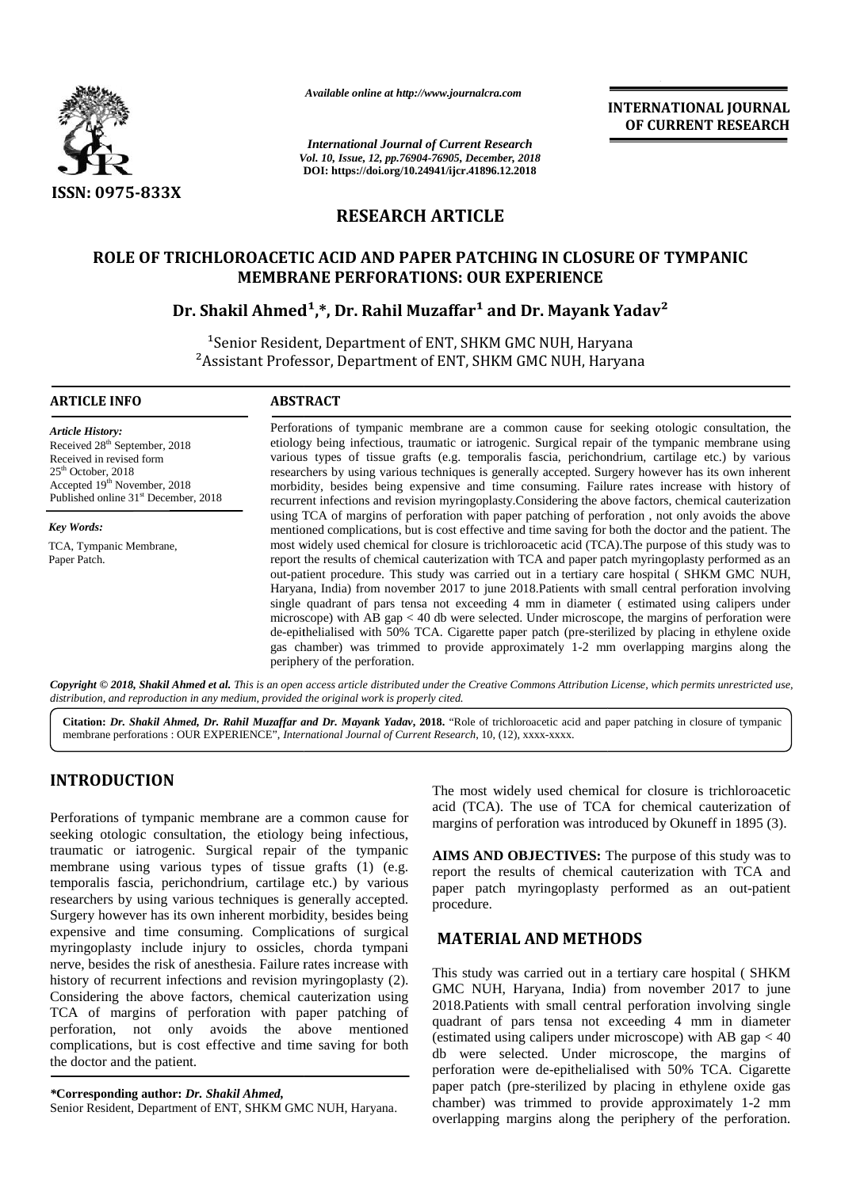

*Available online at http://www.journalcra.com*

*International Journal of Current Research Vol. 10, Issue, 12, pp.76904-76905, December, 2018* **DOI: https://doi.org/10.24941/ijcr.41896.12.2018**

**INTERNATIONAL JOURNAL OF CURRENT RESEARCH**

## **RESEARCH ARTICLE**

# **ROLE OF TRICHLOROACETIC ACID AND PAPER PATCHING IN CLOSURE OF TYMPANIC MEMBRANE PERFORATIONS: OUR EXPERIENCE** 'RICHLOROACETIC ACID AND PAPER PATCHING IN CLOSURE OF TYMPANIC<br>MEMBRANE PERFORATIONS: OUR EXPERIENCE<br>Dr. Shakil Ahmed<sup>1</sup>,\*, Dr. Rahil Muzaffar<sup>1</sup> and Dr. Mayank Yadav<sup>2</sup>

<sup>1</sup>Senior Resident, Department of ENT, SHKM GMC NUH, Haryana <sup>-</sup>Senior Resident, Department of ENT, SHKM GMC NUH, Haryana<br><sup>2</sup>Assistant Professor, Department of ENT, SHKM GMC NUH, Haryana

#### **ARTICLE INFO ABSTRACT ARTICLE ABSTRACT**

*Article History:* Received 28<sup>th</sup> September, 2018 Received in revised form  $25<sup>th</sup>$  October, 2018  $\frac{1}{2}$  Accepted  $19^{\text{th}}$  November, 2018 Published online 31<sup>st</sup> December, 2018

*Key Words:* TCA, Tympanic Membrane,

Paper Patch.

Perforations of tympanic membrane are a common cause for seeking otologic consultation, the etiology being infectious, traumatic or iatrogenic. Surgical repair of the tympanic membrane using various types of tissue grafts (e.g. temporalis fascia, perichondrium, cartilage etc.) by various researchers by using various techniques is generally accepted. Surgery however has its own inherent morbidity, besides being expensive and time consuming. Failure rates increase with history of recurrent infections and revision myringoplasty.Considering the above factors, chemical cauterization using TCA of margins of perforation with paper patching of perforation , not only avoids the above mentioned complications, but is cost effective and time saving for both the doctor and the patient. The most widely used chemical for closure is trichloroacetic acid (TCA).The purpose of this study was to report the results of chemical cauterization with TCA and paper patch myringoplasty performed as an out-patient procedure. This study was carried out in a tertiary care hospital ( SHKM GMC NUH, Haryana, India) from november 2017 to june 2018.Patients with small central perforation involving single quadrant of pars tensa not exceeding 4 mm in diameter ( estimated using calipers under microscope) with AB gap < 40 db were selected. Under microscope, the margins of perforation were de-epithelialised with 50% TCA. Cigarette paper patch (pre-sterilized by placing in ethylene oxide gas chamber) was trimmed to provide approximately 1-2 mm overlapping margins along the periphery of the perforation. Perforations of tympanic membrane are a common cause for seeking otologic consultation, the<br>etiology being infectious, trannatio or iatrogenic. Surgical repair of the tympanic membrane using<br>various types of tissue grafits **3.44.** (ARTIST) **CONSULTER CONTRACT CONTRACT CONTRACT CONTRACT CONTRACT CONTRACT CONTRACT CONTRACT CONTRACT CONTRACT CONTRACT CONTRACT CONTRACT CONTRACT CONTRACT CONTRACT CONTRACT CONTRACT CONTRACT CONTRACT CONTRACT CONT** CHER **CITATION:**<br>
CITATION: CITATION: CITATION: CITATION: CITATION: CITATION: CITATION: CITATION: CITATION: CITATION: CITATION: CITATION: CITATION: CITATION: CITATION: CITATION: CITATION: CITATION: CITATION: CITATION: CIT *I of Current Research*<br> *Lof Current Re*<br>
24941/ijcr.41890<br>
24941/ijcr.41890<br> **HARTICL**<br> **PER PAT(IONS: OUI**<br>
IUZAFfar<sup>1</sup> a<br>
f ENT, SHKN<br>
of ENT, SHKN<br>
of ENT, SHKN<br>
of ENT, SHKN<br>
times is a summatric or internation with<br>

Copyright © 2018, Shakil Ahmed et al. This is an open access article distributed under the Creative Commons Attribution License, which permits unrestricted use, *distribution, and reproduction in any medium, provided the original work is properly cited. distribution,any*

**Citation:** *Dr. Shakil Ahmed, Dr. Rahil Muzaffar and Dr. Mayank Yadav***, 2018.** "Role of trichloroacetic acid and paper patching in closure of tympanic membrane perforations : OUR EXPERIENCE", *International Journal of Current Research*, 10, (12), xxxx-xxxx.

## **INTRODUCTION INTRODUCTION**

Perforations of tympanic membrane are a common cause for seeking otologic consultation, the etiology being infectious, traumatic or iatrogenic. Surgical repair of the tympanic membrane using various types of tissue grafts (1) (e.g. temporalis fascia, perichondrium, cartilage etc.) by various researchers by using various techniques is generally accepted. Surgery however has its own inherent morbidity, besides being expensive and time consuming. Complications of surgical Surgery however has its own inherent morbidity, besides being<br>expensive and time consuming. Complications of surgical<br>myringoplasty include injury to ossicles, chorda tympani nerve, besides the risk of anesthesia. Failure rates increase with history of recurrent infections and revision myringoplasty (2). Considering the above factors, chemical cauterization using TCA of margins of perforation with paper patching of perforation, not only avoids the above mentioned complications, but is cost effective and time saving for both  $\frac{1}{11}$ the doctor and the patient. Perforations of tympanic membrane are a common cause for<br>seeking otologic consultation, the etiology being infectious,<br>traumatic or iatrogenic. Surgical repair of the tympanic<br>membrane using various types of tissue grafts nerve, besides the risk of anesthesia. Failure rates increase with<br>history of recurrent infections and revision myringoplasty (2).<br>Considering the above factors, chemical cauterization using<br>TCA of margins of perforation w perforation, not only avoids the above mentioned complications, but is cost effective and time saving for both the doctor and the patient.

Senior Resident, Department of ENT, SHKM GMC NUH, Haryana.

The most widely used chemical for closure is trichloroacetic acid (TCA). The use of TCA for chemical cauterization of margins of perforation was introduced by Okuneff in 1895 (3).

**AIMS AND OBJECTIVES:** The purpose of this study was to report the results of chemical cauterization with TCA and paper patch myringoplasty performed as an out-patient procedure.

## **MATERIAL AND METHODS**

This study was carried out in a tertiary care hospital ( SHKM GMC NUH, Haryana, India) from november 2017 to june 2018.Patients with small central perforation involving single quadrant of pars tensa not exceeding 4 mm in diameter (estimated using calipers under microscope) with AB gap < 40 db were selected. Under microscope, the margins of perforation were de-epithelialised with 50% TCA. Cigarette paper patch (pre-sterilized by placing in ethylene oxide gas chamber) was trimmed to provide approximately 1-2 mm overlapping margins along the periphery of the perforation.

*<sup>\*</sup>***Corresponding author:** *Dr. Shakil Ahmed, \**